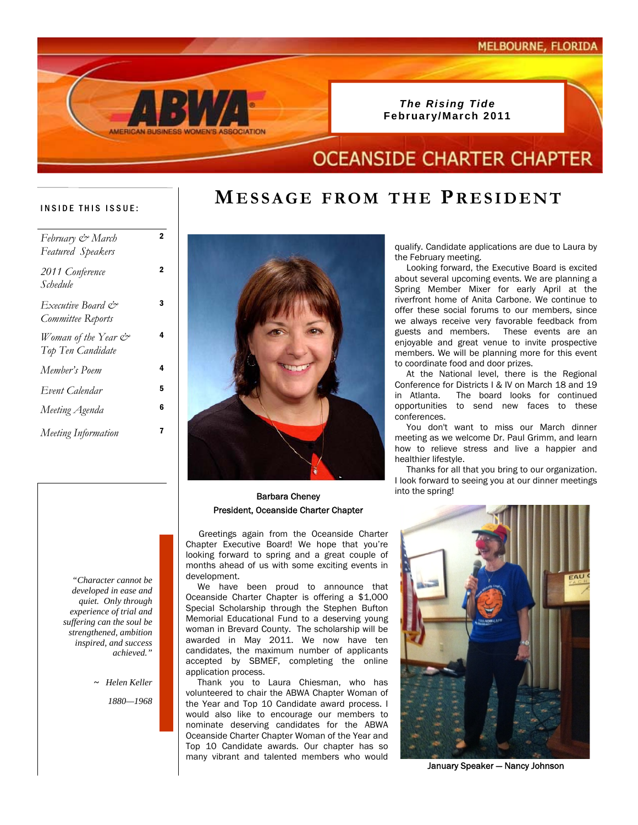

# **OCEANSIDE CHARTER CHAPTER**

**MESSAGE FROM THE PRESIDENT**

### INSIDE THIS ISSUE:

| February & March<br>Featured Speakers    | 2 |
|------------------------------------------|---|
| 2011 Conference<br>Schedule              | 2 |
| Executive Board &<br>Committee Reports   | 3 |
| Woman of the Year &<br>Top Ten Candidate | 4 |
| Member's Poem                            | 4 |
| Event Calendar                           | 5 |
| Meeting Agenda                           | 6 |
| Meeting Information                      | 7 |
|                                          |   |

### into the spring! Barbara Cheney President, Oceanside Charter Chapter

 Greetings again from the Oceanside Charter Chapter Executive Board! We hope that you're looking forward to spring and a great couple of months ahead of us with some exciting events in development.

 We have been proud to announce that Oceanside Charter Chapter is offering a \$1,000 Special Scholarship through the Stephen Bufton Memorial Educational Fund to a deserving young woman in Brevard County. The scholarship will be awarded in May 2011. We now have ten candidates, the maximum number of applicants accepted by SBMEF, completing the online application process.

 Thank you to Laura Chiesman, who has volunteered to chair the ABWA Chapter Woman of the Year and Top 10 Candidate award process. I would also like to encourage our members to nominate deserving candidates for the ABWA Oceanside Charter Chapter Woman of the Year and Top 10 Candidate awards. Our chapter has so many vibrant and talented members who would

qualify. Candidate applications are due to Laura by the February meeting.

 Looking forward, the Executive Board is excited about several upcoming events. We are planning a Spring Member Mixer for early April at the riverfront home of Anita Carbone. We continue to offer these social forums to our members, since we always receive very favorable feedback from guests and members. These events are an enjoyable and great venue to invite prospective members. We will be planning more for this event to coordinate food and door prizes.

 At the National level, there is the Regional Conference for Districts I & IV on March 18 and 19 in Atlanta. The board looks for continued opportunities to send new faces to these conferences.

 You don't want to miss our March dinner meeting as we welcome Dr. Paul Grimm, and learn how to relieve stress and live a happier and healthier lifestyle.

 Thanks for all that you bring to our organization. I look forward to seeing you at our dinner meetings



January Speaker — Nancy Johnson

*"Character cannot be developed in ease and quiet. Only through experience of trial and suffering can the soul be strengthened, ambition inspired, and success achieved."* 

*~ Helen Keller*

*1880—1968*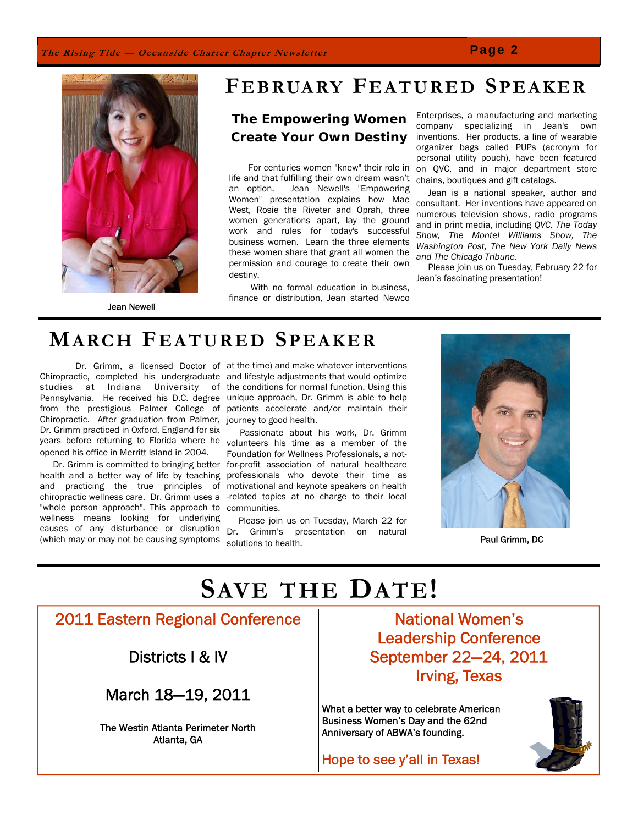### **The Rising Tide — Oceanside Charter Chapter Newsletter**





Jean Newell

# **FEBRUARY FEATURED SPEAKER**

 **The Empowering Women Create Your Own Destiny**

 For centuries women "knew" their role in life and that fulfilling their own dream wasn't an option. Jean Newell's "Empowering Women" presentation explains how Mae West, Rosie the Riveter and Oprah, three women generations apart, lay the ground work and rules for today's successful business women. Learn the three elements these women share that grant all women the permission and courage to create their own destiny.

 With no formal education in business, finance or distribution, Jean started Newco

Enterprises, a manufacturing and marketing company specializing in Jean's own inventions. Her products, a line of wearable organizer bags called PUPs (acronym for personal utility pouch), have been featured on QVC, and in major department store chains, boutiques and gift catalogs.

 Jean is a national speaker, author and consultant. Her inventions have appeared on numerous television shows, radio programs and in print media, including *QVC, The Today Show, The Montel Williams Show, The Washington Post, The New York Daily News and The Chicago Tribune*.

 Please join us on Tuesday, February 22 for Jean's fascinating presentation!

# **MARCH FEATURED SPEAKER**

 Dr. Grimm, a licensed Doctor of at the time) and make whatever interventions Chiropractic, completed his undergraduate and lifestyle adjustments that would optimize studies at Indiana University of the conditions for normal function. Using this Pennsylvania. He received his D.C. degree unique approach, Dr. Grimm is able to help from the prestigious Palmer College of patients accelerate and/or maintain their Chiropractic. After graduation from Palmer, journey to good health. Dr. Grimm practiced in Oxford, England for six years before returning to Florida where he volunteers his time as a member of the opened his office in Merritt Island in 2004.

 Dr. Grimm is committed to bringing better health and a better way of life by teaching and practicing the true principles of chiropractic wellness care. Dr. Grimm uses a -related topics at no charge to their local "whole person approach". This approach to communities. wellness means looking for underlying causes of any disturbance or disruption Dr. Grimm's presentation on natural (which may or may not be causing symptoms

 Passionate about his work, Dr. Grimm Foundation for Wellness Professionals, a notfor-profit association of natural healthcare professionals who devote their time as motivational and keynote speakers on health

 Please join us on Tuesday, March 22 for solutions to health. Paul Grimm, DC



# **SAVE THE DATE!**

2011 Eastern Regional Conference

Districts I & IV

March 18—19, 2011

 The Westin Atlanta Perimeter North Atlanta, GA

National Women's Leadership Conference September 22—24, 2011 Irving, Texas

What a better way to celebrate American Business Women's Day and the 62nd Anniversary of ABWA's founding.

Hope to see y'all in Texas!

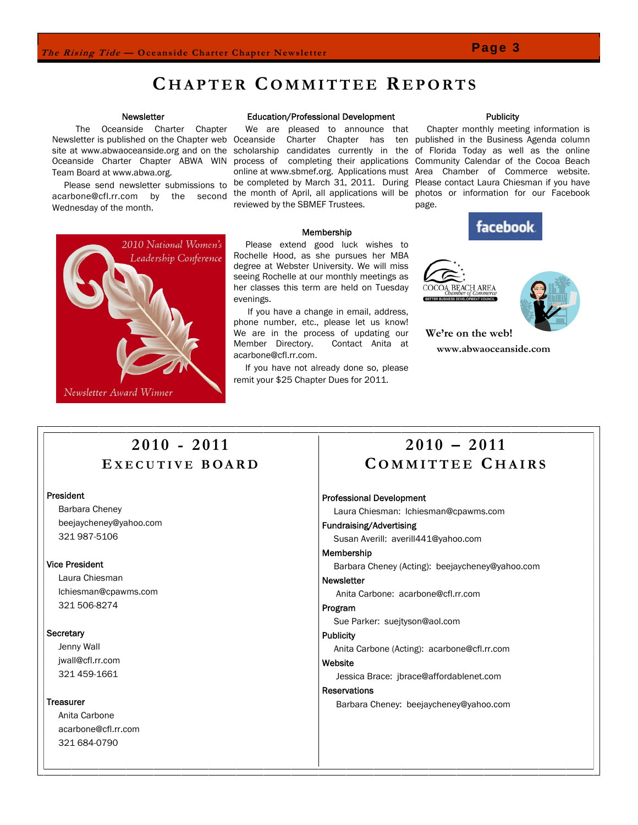### **C HAPTER COMMITTEE R EPORTS**

#### **Newsletter**

 The Oceanside Charter Chapter Newsletter is published on the Chapter web Oceanside Charter Chapter has ten published in the Business Agenda column site at www.abwaoceanside.org and on the scholarship candidates currently in the of Florida Today as well as the online Oceanside Charter Chapter ABWA WIN process of completing their applications Community Calendar of the Cocoa Beach Team Board at www.abwa.org.

 Please send newsletter submissions to Wednesday of the month.

> 2010 National Women's Leadership Conference

#### Education/Professional Development

 We are pleased to announce that be completed by March 31, 2011. During reviewed by the SBMEF Trustees.

### Membership

 Please extend good luck wishes to Rochelle Hood, as she pursues her MBA degree at Webster University. We will miss seeing Rochelle at our monthly meetings as her classes this term are held on Tuesday evenings.

 If you have a change in email, address, phone number, etc., please let us know! We are in the process of updating our Member Directory. Contact Anita at acarbone@cfl.rr.com.

 If you have not already done so, please remit your \$25 Chapter Dues for 2011.

### **Publicity**

acarbone@cfl.rr.com by the second the month of April, all applications will be photos or information for our Facebook online at www.sbmef.org. Applications must Area Chamber of Commerce website. Chapter monthly meeting information is Please contact Laura Chiesman if you have page.

facebook





**We're on the web! www.abwaoceanside.com** 

### **2010 - 2011 E XECUTIVE BOARD**

### President

 Barbara Cheney beejaycheney@yahoo.com 321 987-5106

Newsletter Award Winner

### Vice President

 Laura Chiesman lchiesman@cpawms.com 321 506-8274

### **Secretary**

 Jenny Wall jwall@cfl.rr.com 321 459-1661

### **Treasurer**

 Anita Carbone acarbone@cfl.rr.com 321 684-0790

### **2010 – 2011 C OMMITTEE C HAIRS**

#### Professional Development

Laura Chiesman: lchiesman@cpawms.com

#### Fundraising/Advertising

Susan Averill: averill441@yahoo.com

### Membership

Barbara Cheney (Acting): beejaycheney@yahoo.com

#### Newsletter

Anita Carbone: acarbone@cfl.rr.com

### Program

Sue Parker: suejtyson@aol.com

### **Publicity**

Anita Carbone (Acting): acarbone@cfl.rr.com

### Website

Jessica Brace: jbrace@affordablenet.com

### Reservations

Barbara Cheney: beejaycheney@yahoo.com

### **Page 3**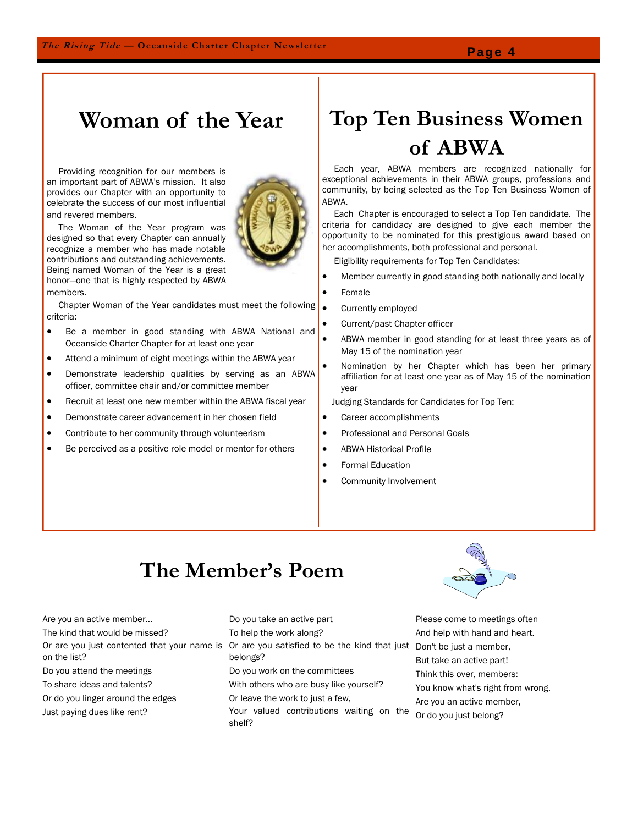## **Woman of the Year**

 Providing recognition for our members is an important part of ABWA's mission. It also provides our Chapter with an opportunity to celebrate the success of our most influential and revered members.

 The Woman of the Year program was designed so that every Chapter can annually recognize a member who has made notable contributions and outstanding achievements. Being named Woman of the Year is a great honor—one that is highly respected by ABWA members.

 Chapter Woman of the Year candidates must meet the following criteria:

- Be a member in good standing with ABWA National and Oceanside Charter Chapter for at least one year
- Attend a minimum of eight meetings within the ABWA year
- Demonstrate leadership qualities by serving as an ABWA officer, committee chair and/or committee member
- Recruit at least one new member within the ABWA fiscal year
- Demonstrate career advancement in her chosen field
- Contribute to her community through volunteerism
- Be perceived as a positive role model or mentor for others

# **Top Ten Business Women of ABWA**

 Each year, ABWA members are recognized nationally for exceptional achievements in their ABWA groups, professions and community, by being selected as the Top Ten Business Women of ABWA.

 Each Chapter is encouraged to select a Top Ten candidate. The criteria for candidacy are designed to give each member the opportunity to be nominated for this prestigious award based on her accomplishments, both professional and personal.

Eligibility requirements for Top Ten Candidates:

- Member currently in good standing both nationally and locally
- **Female**
- Currently employed
	- Current/past Chapter officer
	- ABWA member in good standing for at least three years as of May 15 of the nomination year
- Nomination by her Chapter which has been her primary affiliation for at least one year as of May 15 of the nomination year

Judging Standards for Candidates for Top Ten:

- Career accomplishments
- Professional and Personal Goals
- ABWA Historical Profile
- Formal Education
- Community Involvement

## **The Member's Poem**

Are you an active member... The kind that would be missed? on the list? Do you attend the meetings To share ideas and talents? Or do you linger around the edges Just paying dues like rent?

Or are you just contented that your name is Or are you satisfied to be the kind that just Do you take an active part To help the work along? belongs? Do you work on the committees With others who are busy like yourself?

- Or leave the work to just a few,
- Your valued contributions waiting on the shelf?



Please come to meetings often And help with hand and heart. Don't be just a member, But take an active part! Think this over, members: You know what's right from wrong. Are you an active member, Or do you just belong?

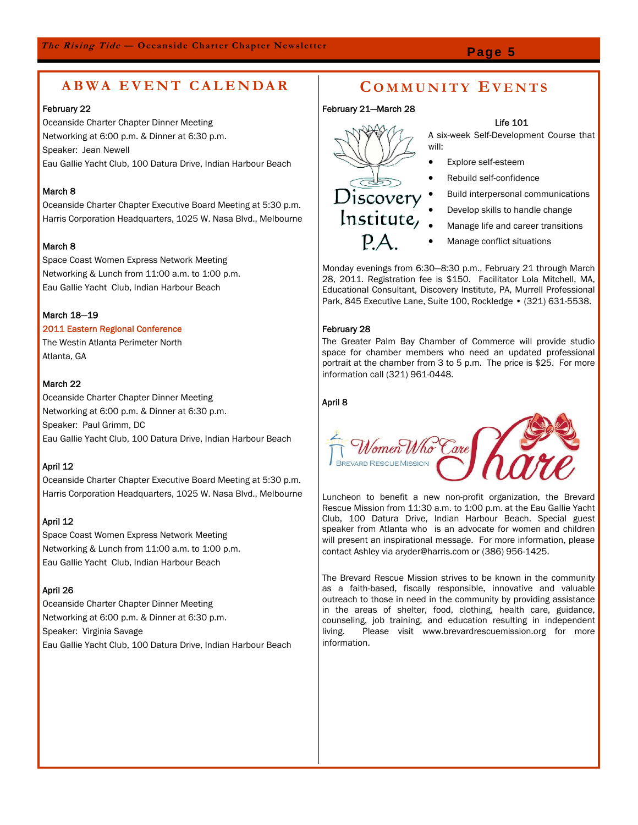### **ABWA EVENT CALENDAR C OMMUNITY E VENTS**

### February 22

Oceanside Charter Chapter Dinner Meeting Networking at 6:00 p.m. & Dinner at 6:30 p.m. Speaker: Jean Newell Eau Gallie Yacht Club, 100 Datura Drive, Indian Harbour Beach

### March 8

Oceanside Charter Chapter Executive Board Meeting at 5:30 p.m. Harris Corporation Headquarters, 1025 W. Nasa Blvd., Melbourne

### March 8

Space Coast Women Express Network Meeting Networking & Lunch from 11:00 a.m. to 1:00 p.m. Eau Gallie Yacht Club, Indian Harbour Beach

### March 18—19

### 2011 Eastern Regional Conference

The Westin Atlanta Perimeter North Atlanta, GA

### March 22

Oceanside Charter Chapter Dinner Meeting Networking at 6:00 p.m. & Dinner at 6:30 p.m. Speaker: Paul Grimm, DC Eau Gallie Yacht Club, 100 Datura Drive, Indian Harbour Beach

### April 12

Oceanside Charter Chapter Executive Board Meeting at 5:30 p.m. Harris Corporation Headquarters, 1025 W. Nasa Blvd., Melbourne

### April 12

Space Coast Women Express Network Meeting Networking & Lunch from 11:00 a.m. to 1:00 p.m. Eau Gallie Yacht Club, Indian Harbour Beach

### April 26

Oceanside Charter Chapter Dinner Meeting Networking at 6:00 p.m. & Dinner at 6:30 p.m. Speaker: Virginia Savage Eau Gallie Yacht Club, 100 Datura Drive, Indian Harbour Beach

### February 21—March 28



Life 101

A six-week Self-Development Course that will:

- Explore self-esteem
- Rebuild self-confidence
	- Build interpersonal communications
- Develop skills to handle change
- Manage life and career transitions
- Manage conflict situations

Monday evenings from 6:30—8:30 p.m., February 21 through March 28, 2011. Registration fee is \$150. Facilitator Lola Mitchell, MA, Educational Consultant, Discovery Institute, PA, Murrell Professional Park, 845 Executive Lane, Suite 100, Rockledge • (321) 631-5538.

### February 28

The Greater Palm Bay Chamber of Commerce will provide studio space for chamber members who need an updated professional portrait at the chamber from 3 to 5 p.m. The price is \$25. For more information call (321) 961-0448.

### April 8



Luncheon to benefit a new non-profit organization, the Brevard Rescue Mission from 11:30 a.m. to 1:00 p.m. at the Eau Gallie Yacht Club, 100 Datura Drive, Indian Harbour Beach. Special guest speaker from Atlanta who is an advocate for women and children will present an inspirational message. For more information, please contact Ashley via aryder@harris.com or (386) 956-1425.

The Brevard Rescue Mission strives to be known in the community as a faith-based, fiscally responsible, innovative and valuable outreach to those in need in the community by providing assistance in the areas of shelter, food, clothing, health care, guidance, counseling, job training, and education resulting in independent living. Please visit www.brevardrescuemission.org for more information.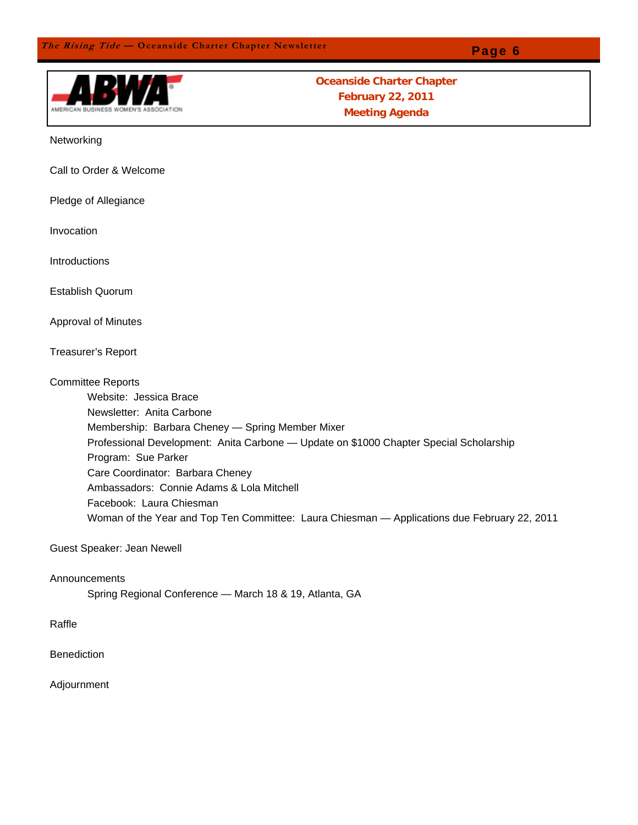

**Oceanside Charter Chapter February 22, 2011 Meeting Agenda** 

Networking

Call to Order & Welcome

Pledge of Allegiance

Invocation

**Introductions** 

Establish Quorum

Approval of Minutes

Treasurer's Report

Committee Reports

 Website: Jessica Brace Newsletter: Anita Carbone Membership: Barbara Cheney — Spring Member Mixer Professional Development: Anita Carbone — Update on \$1000 Chapter Special Scholarship Program: Sue Parker Care Coordinator: Barbara Cheney Ambassadors: Connie Adams & Lola Mitchell Facebook: Laura Chiesman Woman of the Year and Top Ten Committee: Laura Chiesman — Applications due February 22, 2011

Guest Speaker: Jean Newell

Announcements

Spring Regional Conference — March 18 & 19, Atlanta, GA

Raffle

Benediction

Adjournment